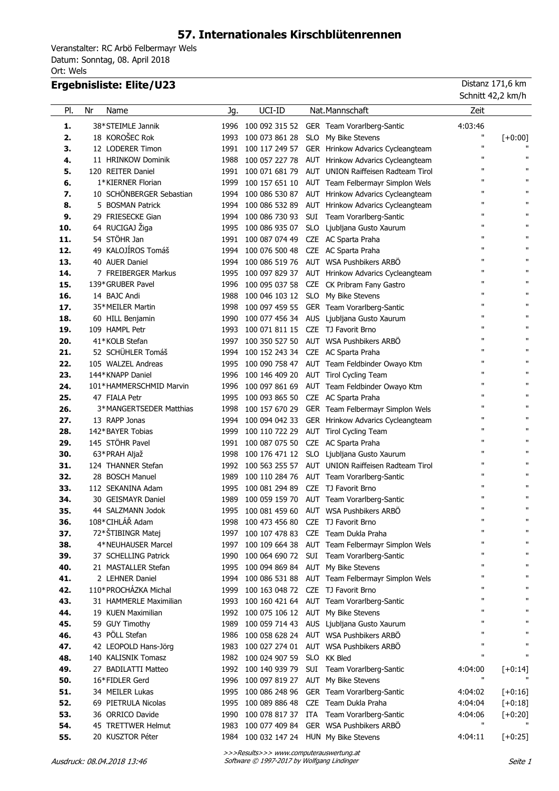# **57. Internationales Kirschblütenrennen**

Veranstalter: RC Arbö Felbermayr Wels Ort: Wels Datum: Sonntag, 08. April 2018

### **Ergebnisliste: Elite/U23** Distanz 171,6 km

|            |                                      |      |                                                           |     |                                                        | Schnitt 42,2 km/h            |                              |
|------------|--------------------------------------|------|-----------------------------------------------------------|-----|--------------------------------------------------------|------------------------------|------------------------------|
| PI.        | Nr<br>Name                           | Jg.  | UCI-ID                                                    |     | Nat.Mannschaft                                         | Zeit                         |                              |
| 1.         | 38*STEIMLE Jannik                    |      |                                                           |     | 1996 100 092 315 52 GER Team Vorarlberg-Santic         | 4:03:46                      |                              |
| 2.         | 18 KOROŠEC Rok                       |      | 1993 100 073 861 28                                       |     | SLO My Bike Stevens                                    | п                            | $[+0:00]$                    |
| 3.         | 12 LODERER Timon                     |      |                                                           |     | 1991 100 117 249 57 GER Hrinkow Advarics Cycleangteam  | $\mathbf{H}$                 | $\mathbf{H}$                 |
| 4.         | 11 HRINKOW Dominik                   |      |                                                           |     | 1988 100 057 227 78 AUT Hrinkow Advarics Cycleangteam  | $\mathbf{u}$                 | $\mathbf{H}$                 |
| 5.         | 120 REITER Daniel                    |      |                                                           |     | 1991 100 071 681 79 AUT UNION Raiffeisen Radteam Tirol | $\mathbf{u}$                 | $\mathbf{H}$                 |
| 6.         | 1*KIERNER Florian                    |      |                                                           |     | 1999 100 157 651 10 AUT Team Felbermayr Simplon Wels   | $\mathbf{u}$                 | $\mathbf{H}$                 |
| 7.         | 10 SCHÖNBERGER Sebastian             |      |                                                           |     | 1994 100 086 530 87 AUT Hrinkow Advarics Cycleangteam  | $\mathbf{u}$                 | $\mathbf{H}$                 |
| 8.         | 5 BOSMAN Patrick                     |      |                                                           |     | 1994 100 086 532 89 AUT Hrinkow Advarics Cycleangteam  | $\mathbf{u}$                 | $\mathbf{H}$                 |
| 9.         | 29 FRIESECKE Gian                    |      |                                                           |     | 1994 100 086 730 93 SUI Team Vorarlberg-Santic         | $\mathbf{u}$                 | $\mathbf{H}$                 |
| 10.        | 64 RUCIGAJ Žiga                      |      |                                                           |     | 1995 100 086 935 07 SLO Ljubljana Gusto Xaurum         | $\mathbf{u}$                 | $\mathbf{H}$                 |
| 11.        | 54 STÖHR Jan                         |      | 1991 100 087 074 49 CZE AC Sparta Praha                   |     |                                                        | $\mathbf{u}$                 | $\mathbf{H}$                 |
| 12.        | 49 KALOJÍROS Tomáš                   | 1994 | 100 076 500 48 CZE AC Sparta Praha                        |     |                                                        | $\mathbf{u}$                 | $\mathbf{H}$                 |
| 13.        | 40 AUER Daniel                       | 1994 |                                                           |     | 100 086 519 76 AUT WSA Pushbikers ARBÖ                 | $\mathbf{u}$                 | $\mathbf{H}$                 |
| 14.        | 7 FREIBERGER Markus                  | 1995 |                                                           |     | 100 097 829 37 AUT Hrinkow Advarics Cycleangteam       | $\mathbf{u}$                 | $\mathbf{H}$                 |
| 15.        | 139*GRUBER Pavel                     |      |                                                           |     | 1996 100 095 037 58 CZE CK Pribram Fany Gastro         | $\mathbf{u}$                 | $\mathbf{H}$                 |
| 16.        | 14 BAJC Andi                         |      | 1988 100 046 103 12 SLO My Bike Stevens                   |     |                                                        | $\mathbf{u}$                 | $\mathbf{H}$                 |
| 17.        | 35*MEILER Martin                     |      |                                                           |     | 1998 100 097 459 55 GER Team Vorarlberg-Santic         | $\mathbf{u}$                 | $\mathbf{H}$                 |
| 18.        | 60 HILL Benjamin                     |      |                                                           |     | 1990 100 077 456 34 AUS Ljubljana Gusto Xaurum         | $\mathbf{u}$                 | $\mathbf{H}$                 |
| 19.        | 109 HAMPL Petr                       |      | 1993 100 071 811 15 CZE TJ Favorit Brno                   |     |                                                        | $\mathbf{u}$                 | $\mathbf{H}$                 |
| 20.        | 41*KOLB Stefan                       |      |                                                           |     | 1997 100 350 527 50 AUT WSA Pushbikers ARBÖ            | $\mathbf{u}$                 | $\mathbf{H}$                 |
| 21.        | 52 SCHÜHLER Tomáš                    |      | 1994 100 152 243 34 CZE AC Sparta Praha                   |     |                                                        | $\mathbf{u}$                 | $\mathbf{H}$                 |
| 22.        | 105 WALZEL Andreas                   |      |                                                           |     | 1995 100 090 758 47 AUT Team Feldbinder Owayo Ktm      | п                            | $\mathbf{H}$                 |
| 23.        | 144*KNAPP Daniel                     |      |                                                           |     | 1996 100 146 409 20 AUT Tirol Cycling Team             | $\mathbf{u}$<br>$\mathbf{H}$ | $\mathbf{H}$<br>$\mathbf{H}$ |
| 24.        | 101*HAMMERSCHMID Marvin              |      |                                                           |     | 1996 100 097 861 69 AUT Team Feldbinder Owayo Ktm      | $\mathbf{u}$                 | $\mathbf{H}$                 |
| 25.        | 47 FIALA Petr                        |      | 1995 100 093 865 50 CZE AC Sparta Praha                   |     |                                                        | п                            | $\mathbf{H}$                 |
| 26.        | 3*MANGERTSEDER Matthias              | 1998 |                                                           |     | 100 157 670 29 GER Team Felbermayr Simplon Wels        | п                            | $\mathbf{H}$                 |
| 27.        | 13 RAPP Jonas                        |      |                                                           |     | 1994 100 094 042 33 GER Hrinkow Advarics Cycleangteam  | $\mathbf{u}$                 | $\mathbf{H}$                 |
| 28.        | 142*BAYER Tobias                     | 1999 |                                                           |     | 100 110 722 29 AUT Tirol Cycling Team                  | $\mathbf{u}$                 | $\mathbf{H}$                 |
| 29.        | 145 STÖHR Pavel                      |      | 1991 100 087 075 50                                       |     | CZE AC Sparta Praha                                    | $\mathbf{u}$                 | $\mathbf{H}$                 |
| 30.        | 63*PRAH Aljaž                        | 1998 |                                                           |     | 100 176 471 12 SLO Ljubljana Gusto Xaurum              | $\mathbf{u}$                 | $\mathbf{H}$                 |
| 31.<br>32. | 124 THANNER Stefan                   |      |                                                           |     | 1992 100 563 255 57 AUT UNION Raiffeisen Radteam Tirol | $\mathbf{u}$                 | п                            |
| 33.        | 28 BOSCH Manuel<br>112 SEKANINA Adam | 1989 | 100 110 284 76<br>1995 100 081 294 89 CZE TJ Favorit Brno |     | AUT Team Vorarlberg-Santic                             | $\mathbf{u}$                 | п                            |
| 34.        | 30 GEISMAYR Daniel                   |      |                                                           |     | 1989 100 059 159 70 AUT Team Vorarlberg-Santic         | $\mathbf{u}$                 | п                            |
| 35.        | 44 SALZMANN Jodok                    |      |                                                           |     | 1995 100 081 459 60 AUT WSA Pushbikers ARBÖ            |                              |                              |
| 36.        | 108*CIHLÁŘ Adam                      | 1998 | 100 473 456 80                                            |     | CZE TJ Favorit Brno                                    | $\mathbf{u}$                 | п                            |
| 37.        | 72*ŠTIBINGR Matej                    | 1997 | 100 107 478 83                                            |     | CZE Team Dukla Praha                                   | $\mathbf{H}$                 | $\mathbf{H}$                 |
| 38.        | 4*NEUHAUSER Marcel                   | 1997 | 100 109 664 38                                            |     | AUT Team Felbermayr Simplon Wels                       | $\mathbf{H}$                 | $\mathbf{H}$                 |
| 39.        | 37 SCHELLING Patrick                 | 1990 | 100 064 690 72                                            |     | SUI Team Vorarlberg-Santic                             | $\mathbf{u}$                 | $\mathbf{H}$                 |
| 40.        | 21 MASTALLER Stefan                  | 1995 | 100 094 869 84                                            |     | AUT My Bike Stevens                                    | $\mathbf{H}$                 | $\mathbf{H}$                 |
| 41.        | 2 LEHNER Daniel                      | 1994 | 100 086 531 88                                            |     | AUT Team Felbermayr Simplon Wels                       | $\mathbf{H}$                 | $\mathbf{H}$                 |
| 42.        | 110*PROCHÁZKA Michal                 | 1999 | 100 163 048 72                                            |     | CZE TJ Favorit Brno                                    | $\mathbf{u}$                 | $\mathbf{H}$                 |
| 43.        | 31 HAMMERLE Maximilian               | 1993 | 100 160 421 64                                            |     | AUT Team Vorarlberg-Santic                             | $\mathbf{H}$                 | $\mathbf{H}$                 |
| 44.        | 19 KUEN Maximilian                   | 1992 | 100 075 106 12                                            |     | AUT My Bike Stevens                                    | $\mathbf{H}$                 | $\mathbf{H}$                 |
| 45.        | 59 GUY Timothy                       | 1989 | 100 059 714 43                                            |     | AUS Ljubljana Gusto Xaurum                             | $\mathbf{u}$                 | $\mathbf{H}$                 |
| 46.        | 43 PÖLL Stefan                       | 1986 | 100 058 628 24                                            |     | AUT WSA Pushbikers ARBÖ                                | $\mathbf{u}$                 | $\mathbf{H}$                 |
| 47.        | 42 LEOPOLD Hans-Jörg                 | 1983 | 100 027 274 01                                            |     | AUT WSA Pushbikers ARBÖ                                | $\mathbf{u}$                 | $\mathbf{H}$                 |
| 48.        | 140 KALISNIK Tomasz                  | 1982 | 100 024 907 59                                            |     | SLO KK Bled                                            | $\mathbf{H}$                 | $\mathbf{H}$                 |
| 49.        | 27 BADILATTI Matteo                  | 1992 | 100 140 939 79                                            |     | SUI Team Vorarlberg-Santic                             | 4:04:00                      | $[-0:14]$                    |
| 50.        | 16*FIDLER Gerd                       | 1996 | 100 097 819 27                                            |     | AUT My Bike Stevens                                    | $\mathbf{H}$                 |                              |
| 51.        | 34 MEILER Lukas                      | 1995 | 100 086 248 96                                            |     | GER Team Vorarlberg-Santic                             | 4:04:02                      | $[-0:16]$                    |
| 52.        | 69 PIETRULA Nicolas                  | 1995 | 100 089 886 48                                            | CZE | Team Dukla Praha                                       | 4:04:04                      | $[+0:18]$                    |
| 53.        | 36 ORRICO Davide                     | 1990 | 100 078 817 37                                            | ITA | Team Vorarlberg-Santic                                 | 4:04:06                      | $[+0:20]$                    |
| 54.        | 45 TRETTWER Helmut                   | 1983 | 100 077 409 84                                            |     | GER WSA Pushbikers ARBÖ                                | $\mathbf{H}$                 |                              |
| 55.        | 20 KUSZTOR Péter                     | 1984 | 100 032 147 24 HUN My Bike Stevens                        |     |                                                        | 4:04:11                      | $[+0:25]$                    |
|            |                                      |      |                                                           |     |                                                        |                              |                              |

>>>Results>>> www.computerauswertung.at Ausdruck: 08.04.2018 13:46 Software © 1997-2017 by Wolfgang Lindinger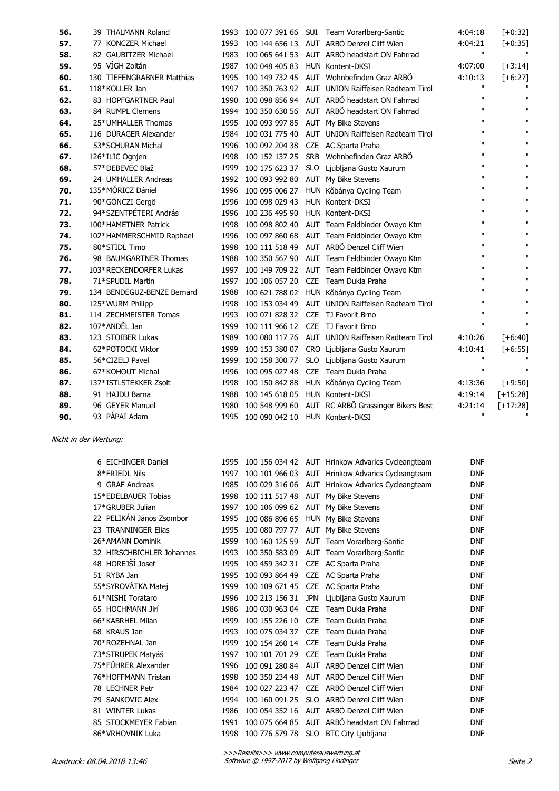| 56. | 39 THALMANN Roland         | 1993 | 100 077 391 66 |            | SUI Team Vorarlberg-Santic                        | 4:04:18      | $[-6:32]$    |
|-----|----------------------------|------|----------------|------------|---------------------------------------------------|--------------|--------------|
| 57. | 77 KONCZER Michael         | 1993 |                |            | 100 144 656 13 AUT ARBÖ Denzel Cliff Wien         | 4:04:21      | $[-10:35]$   |
| 58. | 82 GAUBITZER Michael       | 1983 |                |            | 100 065 641 53 AUT ARBÖ headstart ON Fahrrad      | $\mathbf{H}$ | $\mathbf{u}$ |
| 59. | 95 VÍGH Zoltán             | 1987 | 100 048 405 83 |            | HUN Kontent-DKSI                                  | 4:07:00      | $[+3:14]$    |
| 60. | 130 TIEFENGRABNER Matthias | 1995 |                |            | 100 149 732 45 AUT Wohnbefinden Graz ARBÖ         | 4:10:13      | $[+6:27]$    |
| 61. | 118*KOLLER Jan             | 1997 |                |            | 100 350 763 92 AUT UNION Raiffeisen Radteam Tirol | п            |              |
| 62. | 83 HOPFGARTNER Paul        | 1990 |                |            | 100 098 856 94 AUT ARBÖ headstart ON Fahrrad      | $\mathbf{u}$ | $\mathbf{H}$ |
| 63. | 84 RUMPL Clemens           | 1994 |                |            | 100 350 630 56 AUT ARBÖ headstart ON Fahrrad      | п            | п            |
| 64. | 25*UMHALLER Thomas         | 1995 | 100 093 997 85 |            | AUT My Bike Stevens                               | п            | $\mathbf{H}$ |
| 65. | 116 DÜRAGER Alexander      | 1984 | 100 031 775 40 |            | AUT UNION Raiffeisen Radteam Tirol                | п            | $\mathbf{u}$ |
| 66. | 53*SCHURAN Michal          | 1996 | 100 092 204 38 |            | CZE AC Sparta Praha                               | п            | $\mathbf{H}$ |
| 67. | 126*ILIC Ognjen            | 1998 | 100 152 137 25 |            | SRB Wohnbefinden Graz ARBÖ                        | $\mathbf{u}$ | $\mathbf{H}$ |
| 68. | 57*DEBEVEC Blaž            | 1999 | 100 175 623 37 |            | SLO Ljubljana Gusto Xaurum                        | п            | $\mathbf{H}$ |
| 69. | 24 UMHALLER Andreas        | 1992 | 100 093 992 80 |            | AUT My Bike Stevens                               | $\mathbf{u}$ | $\mathbf{H}$ |
| 70. | 135*MÓRICZ Dániel          | 1996 | 100 095 006 27 |            | HUN Kőbánya Cycling Team                          | п            | $\mathbf{H}$ |
| 71. | 90*GÖNCZI Gergö            | 1996 | 100 098 029 43 |            | HUN Kontent-DKSI                                  | $\mathbf{u}$ | $\mathbf{u}$ |
| 72. | 94*SZENTPÉTERI András      | 1996 | 100 236 495 90 |            | HUN Kontent-DKSI                                  | $\mathbf{u}$ | $\mathbf{H}$ |
| 73. | 100*HAMETNER Patrick       | 1998 | 100 098 802 40 |            | AUT Team Feldbinder Owayo Ktm                     | п            | $\mathbf{H}$ |
| 74. | 102*HAMMERSCHMID Raphael   | 1996 |                |            | 100 097 860 68 AUT Team Feldbinder Owayo Ktm      | п            | $\mathbf{H}$ |
| 75. | 80*STIDL Timo              | 1998 |                |            | 100 111 518 49 AUT ARBÖ Denzel Cliff Wien         | п            | $\mathbf{H}$ |
| 76. | 98 BAUMGARTNER Thomas      | 1988 |                |            | 100 350 567 90 AUT Team Feldbinder Owayo Ktm      | $\mathbf{u}$ | $\mathbf{u}$ |
| 77. | 103*RECKENDORFER Lukas     | 1997 |                |            | 100 149 709 22 AUT Team Feldbinder Owayo Ktm      | п            | п            |
| 78. | 71*SPUDIL Martin           | 1997 | 100 106 057 20 |            | CZE Team Dukla Praha                              | п            | $\mathbf{H}$ |
| 79. | 134 BENDEGUZ-BENZE Bernard | 1988 | 100 621 788 02 |            | HUN Kőbánya Cycling Team                          | п            | $\mathbf{H}$ |
| 80. | 125*WURM Philipp           | 1998 | 100 153 034 49 |            | AUT UNION Raiffeisen Radteam Tirol                | п            | $\mathbf{u}$ |
| 81. | 114 ZECHMEISTER Tomas      | 1993 | 100 071 828 32 |            | CZE TJ Favorit Brno                               | Ħ            | $\mathbf{u}$ |
| 82. | 107*ANDĚL Jan              | 1999 | 100 111 966 12 |            | CZE TJ Favorit Brno                               | п            | п            |
| 83. | 123 STOIBER Lukas          | 1989 |                |            | 100 080 117 76 AUT UNION Raiffeisen Radteam Tirol | 4:10:26      | $[-6:40]$    |
| 84. | 62*POTOCKI Viktor          | 1999 | 100 153 380 07 |            | CRO Ljubljana Gusto Xaurum                        | 4:10:41      | $[+6:55]$    |
| 85. | 56*CIZELJ Pavel            | 1999 | 100 158 300 77 |            | SLO Ljubljana Gusto Xaurum                        | Ħ            |              |
| 86. | 67*KOHOUT Michal           | 1996 | 100 095 027 48 | <b>CZE</b> | Team Dukla Praha                                  | $\mathbf{u}$ | $\mathbf{u}$ |
| 87. | 137*ISTLSTEKKER Zsolt      | 1998 | 100 150 842 88 |            | HUN Kőbánya Cycling Team                          | 4:13:36      | $[+9:50]$    |
| 88. | 91 HAJDU Barna             | 1988 | 100 145 618 05 |            | HUN Kontent-DKSI                                  | 4:19:14      | $[+15:28]$   |
| 89. | 96 GEYER Manuel            | 1980 | 100 548 999 60 |            | AUT RC ARBÖ Grassinger Bikers Best                | 4:21:14      | $[+17:28]$   |
| 90. | 93 PÁPAI Adam              | 1995 | 100 090 042 10 |            | HUN Kontent-DKSI                                  | п            | $\mathbf{u}$ |

Nicht in der Wertung:

| 6 EICHINGER Daniel        | 1995 |                                    |            | 100 156 034 42 AUT Hrinkow Advarics Cycleangteam | <b>DNF</b> |
|---------------------------|------|------------------------------------|------------|--------------------------------------------------|------------|
| 8*FRIEDL Nils             | 1997 | 100 101 966 03                     |            | AUT Hrinkow Advarics Cycleangteam                | <b>DNF</b> |
| 9 GRAF Andreas            | 1985 | 100 029 316 06                     |            | AUT Hrinkow Advarics Cycleangteam                | <b>DNF</b> |
| 15*EDELBAUER Tobias       | 1998 | 100 111 517 48                     |            | AUT My Bike Stevens                              | <b>DNF</b> |
| 17*GRUBER Julian          | 1997 | 100 106 099 62                     |            | AUT My Bike Stevens                              | <b>DNF</b> |
| 22 PELIKÁN János Zsombor  | 1995 | 100 086 896 65                     |            | HUN My Bike Stevens                              | <b>DNF</b> |
| 23 TRANNINGER Elias       | 1995 | 100 080 797 77                     |            | AUT My Bike Stevens                              | <b>DNF</b> |
| 26*AMANN Dominik          | 1999 | 100 160 125 59                     |            | AUT Team Vorarlberg-Santic                       | <b>DNF</b> |
| 32 HIRSCHBICHLER Johannes | 1993 | 100 350 583 09                     |            | AUT Team Vorarlberg-Santic                       | <b>DNF</b> |
| 48 HOREJŠÍ Josef          | 1995 | 100 459 342 31                     |            | CZE AC Sparta Praha                              | <b>DNF</b> |
| 51 RYBA Jan               | 1995 | 100 093 864 49 CZE AC Sparta Praha |            |                                                  | <b>DNF</b> |
| 55*SYROVÁTKA Matej        | 1999 | 100 109 671 45                     |            | CZE AC Sparta Praha                              | <b>DNF</b> |
| 61*NISHI Torataro         | 1996 | 100 213 156 31                     | <b>JPN</b> | Ljubljana Gusto Xaurum                           | <b>DNF</b> |
| 65 HOCHMANN Jirí          | 1986 | 100 030 963 04                     | <b>CZE</b> | Team Dukla Praha                                 | <b>DNF</b> |
| 66*KABRHEL Milan          | 1999 | 100 155 226 10                     | <b>CZE</b> | Team Dukla Praha                                 | <b>DNF</b> |
| 68 KRAUS Jan              | 1993 | 100 075 034 37                     | <b>CZE</b> | Team Dukla Praha                                 | <b>DNF</b> |
| 70*ROZEHNAL Jan           | 1999 | 100 154 260 14                     | <b>CZE</b> | Team Dukla Praha                                 | <b>DNF</b> |
| 73*STRUPEK Matyáš         | 1997 | 100 101 701 29                     | <b>CZE</b> | Team Dukla Praha                                 | <b>DNF</b> |
| 75*FÜHRER Alexander       | 1996 | 100 091 280 84                     |            | AUT ARBÖ Denzel Cliff Wien                       | <b>DNF</b> |
| 76*HOFFMANN Tristan       | 1998 | 100 350 234 48                     |            | AUT ARBÖ Denzel Cliff Wien                       | <b>DNF</b> |
| 78 LECHNER Petr           | 1984 | 100 027 223 47                     | <b>CZE</b> | ARBÖ Denzel Cliff Wien                           | <b>DNF</b> |
| 79 SANKOVIC Alex          | 1994 | 100 160 091 25                     | <b>SLO</b> | ARBÖ Denzel Cliff Wien                           | <b>DNF</b> |
| 81 WINTER Lukas           | 1986 | 100 054 352 16                     |            | AUT ARBÖ Denzel Cliff Wien                       | <b>DNF</b> |
| 85 STOCKMEYER Fabian      | 1991 | 100 075 664 85                     |            | AUT ARBÖ headstart ON Fahrrad                    | <b>DNF</b> |
| 86*VRHOVNIK Luka          | 1998 | 100 776 579 78                     |            | SLO BTC City Ljubljana                           | <b>DNF</b> |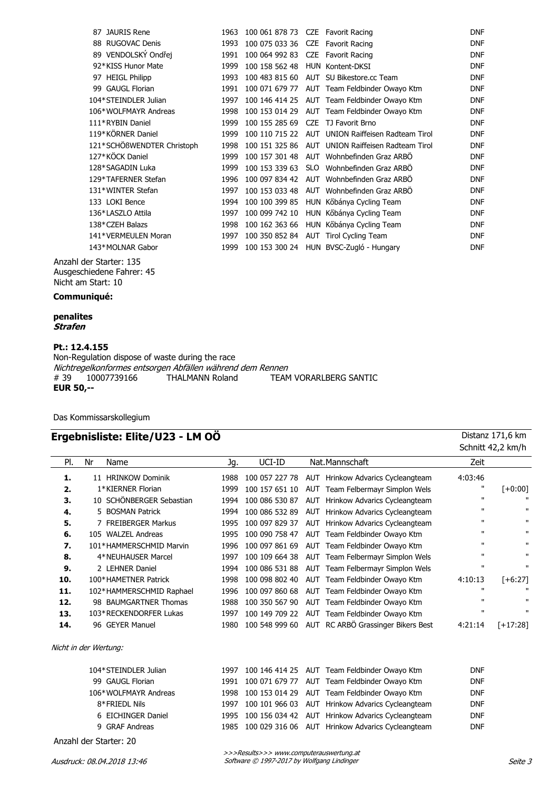| 87 JAURIS Rene             | 1963 | 100 061 878 73 CZE Favorit Racing  |                                                   | <b>DNF</b> |
|----------------------------|------|------------------------------------|---------------------------------------------------|------------|
| 88 RUGOVAC Denis           | 1993 | 100 075 033 36 CZE Favorit Racing  |                                                   | <b>DNF</b> |
| 89 VENDOLSKÝ Ondřej        | 1991 | 100 064 992 83 CZE Favorit Racing  |                                                   | <b>DNF</b> |
| 92*KISS Hunor Mate         | 1999 | 100 158 562 48 HUN Kontent-DKSI    |                                                   | <b>DNF</b> |
| 97 HEIGL Philipp           | 1993 |                                    | 100 483 815 60 AUT SU Bikestore.cc Team           | <b>DNF</b> |
| 99 GAUGL Florian           | 1991 |                                    | 100 071 679 77 AUT Team Feldbinder Owayo Ktm      | <b>DNF</b> |
| 104*STEINDLER Julian       | 1997 |                                    | 100 146 414 25 AUT Team Feldbinder Owayo Ktm      | <b>DNF</b> |
| 106*WOLFMAYR Andreas       | 1998 |                                    | 100 153 014 29 AUT Team Feldbinder Owayo Ktm      | <b>DNF</b> |
| 111*RYBIN Daniel           | 1999 | 100 155 285 69 CZE TJ Favorit Brno |                                                   | <b>DNF</b> |
| 119*KÖRNER Daniel          | 1999 |                                    | 100 110 715 22 AUT UNION Raiffeisen Radteam Tirol | <b>DNF</b> |
| 121*SCHÖßWENDTER Christoph | 1998 |                                    | 100 151 325 86 AUT UNION Raiffeisen Radteam Tirol | <b>DNF</b> |
| 127*KÖCK Daniel            | 1999 |                                    | 100 157 301 48 AUT Wohnbefinden Graz ARBO         | <b>DNF</b> |
| 128*SAGADIN Luka           | 1999 |                                    | 100 153 339 63 SLO Wohnbefinden Graz ARBO         | <b>DNF</b> |
| 129*TAFERNER Stefan        | 1996 |                                    | 100 097 834 42 AUT Wohnbefinden Graz ARBO         | <b>DNF</b> |
| 131*WINTER Stefan          | 1997 |                                    | 100 153 033 48 AUT Wohnbefinden Graz ARBÖ         | <b>DNF</b> |
| 133 LOKI Bence             | 1994 |                                    | 100 100 399 85 HUN Kőbánya Cycling Team           | <b>DNF</b> |
| 136*LASZLO Attila          | 1997 |                                    | 100 099 742 10 HUN Kőbánya Cycling Team           | <b>DNF</b> |
| 138*CZEH Balazs            | 1998 |                                    | 100 162 363 66 HUN Kőbánya Cycling Team           | <b>DNF</b> |
| 141*VERMEULEN Moran        | 1997 |                                    | 100 350 852 84 AUT Tirol Cycling Team             | <b>DNF</b> |
| 143*MOLNAR Gabor           | 1999 |                                    | 100 153 300 24 HUN BVSC-Zugló - Hungary           | <b>DNF</b> |
|                            |      |                                    |                                                   |            |

Anzahl der Starter: 135 Ausgeschiedene Fahrer: 45 Nicht am Start: 10

#### **Communiqué:**

**penalites Strafen**

### **Pt.: 12.4.155**

Non-Regulation dispose of waste during the race Nichtregelkonformes entsorgen Abfällen während dem Rennen<br>#39 10007739166 THALMANN Roland TEAM TEAM VORARLBERG SANTIC **EUR 50,--**

Das Kommissarskollegium

#### **Ergebnisliste: Elite/U23 - LM OÖ** Distanz 171,6 km

|     |                          |      |                |     |                                    |              | Schnitt 42,2 km/h |
|-----|--------------------------|------|----------------|-----|------------------------------------|--------------|-------------------|
| PI. | Nr<br>Name               | Jg.  | UCI-ID         |     | Nat.Mannschaft                     | Zeit         |                   |
| 1.  | 11 HRINKOW Dominik       | 1988 | 100 057 227 78 |     | AUT Hrinkow Advarics Cycleangteam  | 4:03:46      |                   |
| 2.  | 1*KIERNER Florian        | 1999 | 100 157 651 10 |     | AUT Team Felbermayr Simplon Wels   | п            | $[+0:00]$         |
| 3.  | 10 SCHÖNBERGER Sebastian | 1994 | 100 086 530 87 | AUT | Hrinkow Advarics Cycleangteam      | $\mathbf{H}$ | $\mathbf{u}$      |
| 4.  | 5 BOSMAN Patrick         | 1994 | 100 086 532 89 | AUT | Hrinkow Advarics Cycleangteam      | $\mathbf{u}$ | $\mathbf{u}$      |
| 5.  | 7 FREIBERGER Markus      | 1995 | 100 097 829 37 | AUT | Hrinkow Advarics Cycleangteam      | $\mathbf{H}$ | $\mathbf{H}$      |
| 6.  | 105 WALZEL Andreas       | 1995 | 100 090 758 47 |     | AUT Team Feldbinder Owavo Ktm      | $\mathbf{H}$ | $\mathbf{u}$      |
| 7.  | 101*HAMMERSCHMID Marvin  | 1996 | 100 097 861 69 |     | AUT Team Feldbinder Owayo Ktm      | $\mathbf{u}$ | $\mathbf{u}$      |
| 8.  | 4*NEUHAUSER Marcel       | 1997 | 100 109 664 38 |     | AUT Team Felbermayr Simplon Wels   | $\mathbf{H}$ | $\mathbf{u}$      |
| 9.  | 2 LEHNER Daniel          | 1994 | 100 086 531 88 |     | AUT Team Felbermayr Simplon Wels   | $\mathbf{u}$ | $\mathbf{H}$      |
| 10. | 100*HAMETNER Patrick     | 1998 | 100 098 802 40 |     | AUT Team Feldbinder Owayo Ktm      | 4:10:13      | $[+6:27]$         |
| 11. | 102*HAMMERSCHMID Raphael | 1996 | 100 097 860 68 |     | AUT Team Feldbinder Owayo Ktm      | $\mathbf{H}$ | $\mathbf{u}$      |
| 12. | 98 BAUMGARTNER Thomas    | 1988 | 100 350 567 90 |     | AUT Team Feldbinder Owayo Ktm      | $\mathbf{H}$ | $\mathbf{u}$      |
| 13. | 103*RECKENDORFER Lukas   | 1997 | 100 149 709 22 |     | AUT Team Feldbinder Owayo Ktm      | $\mathbf{H}$ | $\mathbf{u}$      |
| 14. | 96 GEYER Manuel          | 1980 | 100 548 999 60 |     | AUT RC ARBÖ Grassinger Bikers Best | 4:21:14      | $[-17:28]$        |
|     | Nicht in der Wertung:    |      |                |     |                                    |              |                   |
|     | 104*STEINDLER Julian     | 1997 | 100 146 414 25 |     | AUT Team Feldbinder Owayo Ktm      | <b>DNF</b>   |                   |
|     | 99 GAUGL Florian         | 1991 | 100 071 679 77 |     | AUT Team Feldbinder Owayo Ktm      | <b>DNF</b>   |                   |
|     | 106*WOLFMAYR Andreas     | 1998 | 100 153 014 29 |     | AUT Team Feldbinder Owayo Ktm      | <b>DNF</b>   |                   |
|     | 8*FRIEDL Nils            | 1997 | 100 101 966 03 |     | AUT Hrinkow Advarics Cycleangteam  | <b>DNF</b>   |                   |
|     | 6 EICHINGER Daniel       | 1995 | 100 156 034 42 | AUT | Hrinkow Advarics Cycleangteam      | <b>DNF</b>   |                   |
|     | <b>GRAF Andreas</b><br>9 | 1985 | 100 029 316 06 | AUT | Hrinkow Advarics Cycleangteam      | <b>DNF</b>   |                   |
|     | Anzahl der Starter: 20   |      |                |     |                                    |              |                   |